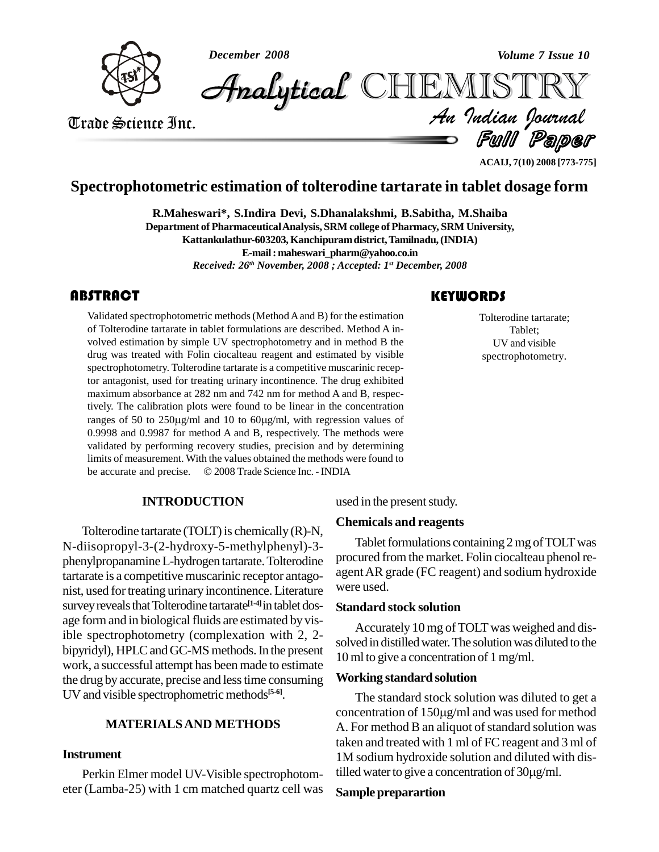

Ful Paper Volume 7 Issue 10<br>
Trade Science Inc.<br>
Trade Science Inc.<br>
Trade Science Inc.<br>
Trade Science Inc.<br>
Trade Science Inc.<br>
Trade Science Inc. **Analytical CHIEMISTRY** 

**ACAIJ, 7(10) 2008 [773-775]**

# **Spectrophotometric estimation of tolterodine tartarate in tablet dosage form**

**R.Maheswari\*, S.Indira Devi, S.Dhanalakshmi, B.Sabitha, M.Shaiba**

**Department of PharmaceuticalAnalysis, SRM college ofPharmacy, SRM University, Kattankulathur-603203, Kanchipuramdistrict,Tamilnadu,(INDIA)**

**E-mail: [maheswari\\_pharm@yahoo.co.in](mailto:maheswari_pharm@yahoo.co.in)**

*Received: 26 th November, 2008 ; Accepted: 1 st December, 2008*

# **ABSTRACT**

Validated spectrophotome<br>of Tolterodine tartarate in<br>volved estimation by sim Validated spectrophotometric methods (Method A and B) for the estimation of Tolterodine tartarate in tablet formulations are described. Method A in volved estimation by simple UV spectrophotometry and in method B the drug was treated with Folin ciocalteau reagent and estimated by visible spectrophotometry. Tolterodine tartarate is a competitive muscarinic receptor antagonist, used for treating urinary incontinence. The drug exhibited maximum absorbance at 282 nm and 742 nm for method A and B, respectively. The calibration plots were found to be linear in the concentration ranges of 50 to  $250\mu g/ml$  and 10 to  $60\mu g/ml$ , with regression values of 0.9998 and 0.9987 for method A and B, respectively. The methods were validated by performing recovery studies, precision and by determining limits of measurement. With the values obtained the methods were found to validated by performing recovery studies, precision and by determining<br>limits of measurement. With the values obtained the methods were found to<br>be accurate and precise. © 2008 Trade Science Inc. - INDIA

#### **INTRODUCTION**

Tolterodine tartarate (TOLT) is chemically  $(R)-N$ , N-diisopropyl-3-(2-hydroxy-5-methylphenyl)-3 phenylpropanamineL-hydrogen tartarate.Tolterodine tartarate is a competitive muscarinic receptor antago nist, used fortreating urinary incontinence. Literature survey reveals that Tolterodine tartarate<sup>[1-4]</sup>in tablet dos-<br>Star age form and in biological fluids are estimated by visible spectrophotometry (complexation with 2, 2 bipyridyl), HPLC and GC-MS methods. In the present work, a successful attempt has been made to estimate the drug by accurate, precise and less time consuming UV and visible spectrophometric methods **[5-6]**.

## **MATERIALSAND METHODS**

#### **Instrument**

Perkin Elmer model UV-Visible spectrophotom-<br>tilled water to give a concentration of  $30\mu\text{g/ml}$ . eter (Lamba-25) with 1 cm matched quartz cell was

## **KEYWORDS**

Tolterodine tarta<br>Tablet;<br>UV and visibl Tolterodine tartarate; Tablet; UV and visible spectrophotometry.

used in the present study.

#### **Chemicals and reagents**

Tablet formulations containing 2 mg of TOLT was procured from the market. Folin ciocalteau phenol reagentAR grade (FC reagent) and sodium hydroxide were used.

#### **Standard stock solution**

Accurately 10 mg of TOLT was weighed and dissolved in distilled water. The solution was diluted to the 10 ml to give a concentration of 1mg/ml.

#### **Working standard solution**

The standard stock solution was diluted to get a concentration of  $150\mu g/ml$  and was used for method A. For method B an aliquot of standard solution was taken and treated with 1 ml of FC reagent and 3 ml of 1M sodium hydroxide solution and diluted with distaken and treated with 1 ml of FC reagent and 3 ml<br>1M sodium hydroxide solution and diluted with di<br>tilled water to give a concentration of 30µg/ml.

#### **Sample preparartion**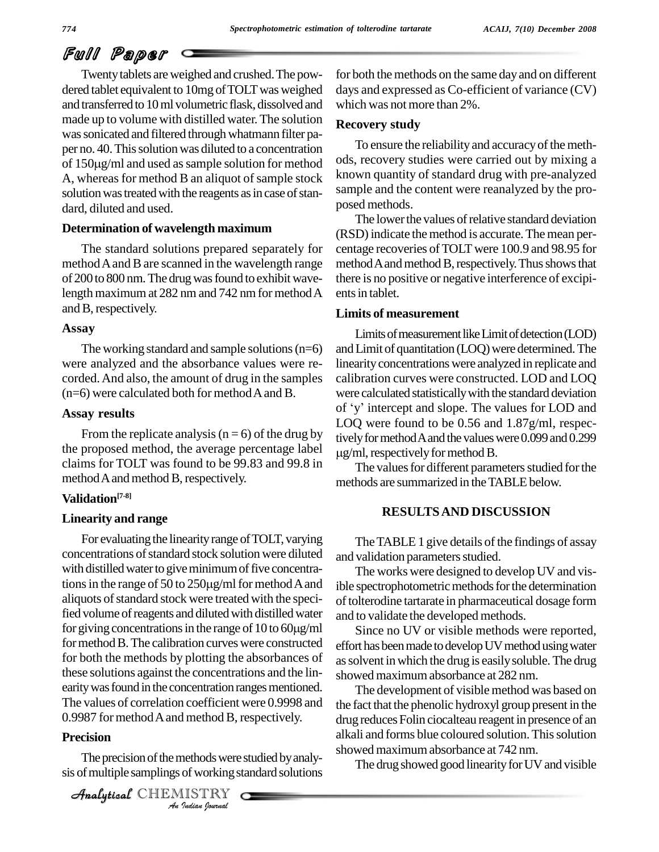# Full Paper

Twentytablets areweighed and crushed.The pow dered tablet equivalent to 10mg of TOLT was weighed and transferred to 10 ml volumetric flask, dissolved and made up to volume with distilled water.The solution was sonicated and filtered through whatmann filter paper no. 40. This solution was diluted to a concentration of <sup>150</sup>g/ml and used assample solution for method A, whereas for method B an aliquot of sample stock solution was treated with the reagents as in case of standard, diluted and used.

#### **Determination of wavelength maximum**

The standard solutions prepared separately for method A and B are scanned in the wavelength range of 200 to 800 nm. The drug was found to exhibit wavelength maximum at 282 nm and 742 nm for method A and B, respectively.

#### **Assay**

The working standard and sample solutions  $(n=6)$ were analyzed and the absorbance values were re corded.And also, the amount of drug in the samples  $(n=6)$  were calculated both for method A and B.

## **Assay results**

From the replicate analysis ( $n = 6$ ) of the drug by the proposed method, the average percentage label claims for TOLT was found to be 99.83 and 99.8 in method A and method B, respectively.

## **Validation [7-8]**

# **Linearity and range**

0.9987 for method A and method B, respectively. For evaluating the linearity range of TOLT, varying concentrations of standard stock solution were diluted and value with distilled water to give minimum of five concentrations in the range of 50 to 250 $\mu$ g/ml for method A and ible specified with distilled water to give minimum of five concentraaliquots of standard stock were treated with the speci-<br>fied volume of reagents and diluted with distilled water<br>for giving concentrations in the range of 10 to 60µg/ml fied volume of reagents and diluted with distilled water for method B. The calibration curves were constructed for both the methods by plotting the absorbances of these solutions against the concentrations and the lin earity was found in the concentration ranges mentioned. The values of correlation coefficient were 0.9998 and

## **Precision**

*I* method B, r<br>*I* rethods were<br>*I* ISTRY<br>*Indian Journal* The precision of the methods were studied by analysis of multiple samplings of working standard solutions

CHEMISTRY

for both the methods on the same day and on different days and expressed as Co-efficient of variance (CV) which was not more than  $2\%$ .

## **Recovery study**

To ensure the reliability and accuracyofthe meth ods, recovery studies were carried out by mixing a known quantity of standard drug with pre-analyzed sample and the content were reanalyzed by the pro posed methods.

The lower the values of relative standard deviation (RSD)indicate the method isaccurate.The mean per centage recoveries ofTOLT were 100.9 and 98.95 for method A and method B, respectively. Thus shows that there is no positive or negative interference of excipi ents in tablet.

## **Limits of measurement**

Limits of measurement like Limit of detection (LOD) and Limit of quantitation (LOQ) were determined. The linearity concentrations were analyzed in replicate and calibration curves were constructed. LOD andLOQ were calculated statisticallywith the standard deviation of <sup>ë</sup>y<sup>í</sup> intercept and slope. The values for LOD and LOQ were found to be 0.56 and 1.87g/ml, respectively for method A and the values were 0.099 and 0.299  $\mu$ g/ml, respectively for method B.

The values for different parameters studied for the methods are summarized in the TABLE below.

# **RESULTSAND DISCUSSION**

The TABLE 1 give details of the findings of assay and validation parameters studied.

The works were designed to develop UV and visible spectrophotometric methods for the determination of tolterodine tartarate in pharmaceutical dosage form and to validate the developed methods.

Since no UV or visible methods were reported, effort has been made to develop UV method using water assolvent inwhich the drug is easilysoluble.The drug showed maximumabsorbance at 282 nm.

The development of visible method was based on the fact that the phenolic hydroxyl group present in the drug reduces Folin ciocalteau reagent in presence of an alkali and forms blue coloured solution. This solution showed maximumabsorbance at 742 nm.

The drug showed good linearity for UV and visible